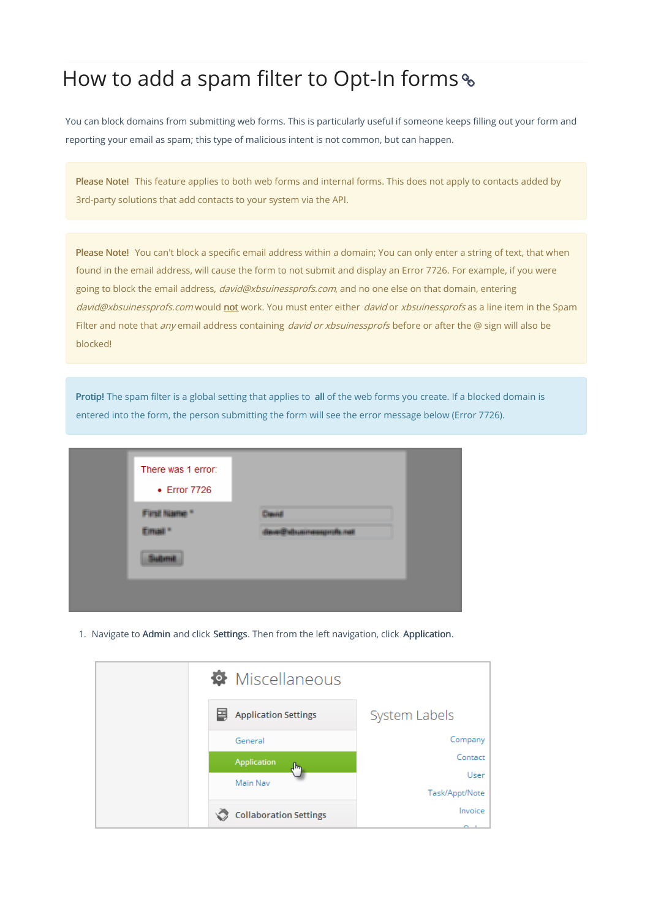## How to add a spam filter to Opt-In forms

You can block domains from submitting web forms. This is particularly useful if someone keeps filling out your form and reporting your email as spam; this type of malicious intent is not common, but can happen.

Please Note! This feature applies to both web forms and internal forms. This does not apply to contacts added by 3rd-party solutions that add contacts to your system via the API.

Please Note! You can't block a specific email address within a domain; You can only enter a string of text, that when found in the email address, will cause the form to not submit and display an Error 7726. For example, if you were going to block the email address, david@xbsuinessprofs.com, and no one else on that domain, entering david@xbsuinessprofs.com would not work. You must enter either david or xbsuinessprofs as a line item in the Spam Filter and note that any email address containing david or xbsuinessprofs before or after the @ sign will also be blocked!

Protip! The spam filter is a global setting that applies to all of the web forms you create. If a blocked domain is entered into the form, the person submitting the form will see the error message below (Error 7726).

| There was 1 error:<br>• Error 7726 |             |
|------------------------------------|-------------|
| <b>NUMBER</b><br>m                 | duaineammā. |

1. Navigate to Admin and click Settings. Then from the left navigation, click Application.

| <b>W</b> Miscellaneous           |                   |
|----------------------------------|-------------------|
| <b>Application Settings</b><br>圕 | System Labels     |
| General                          | Company           |
| Application<br>վեր               | Contact           |
| Main Nav                         | User              |
|                                  | Task/Appt/Note    |
| <b>Collaboration Settings</b>    | Invoice<br>$\sim$ |